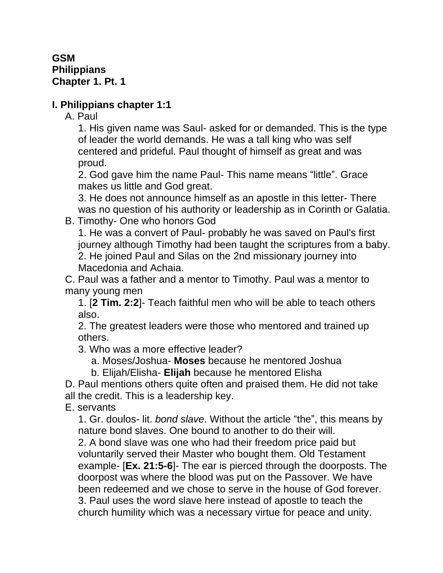#### **GSM Philippians Chapter 1. Pt. 1**

### **I. Philippians chapter 1:1**

A. Paul

1. His given name was Saul- asked for or demanded. This is the type of leader the world demands. He was a tall king who was self centered and prideful. Paul thought of himself as great and was proud.

2. God gave him the name Paul- This name means "little". Grace makes us little and God great.

3. He does not announce himself as an apostle in this letter- There was no question of his authority or leadership as in Corinth or Galatia.

### B. Timothy- One who honors God

1. He was a convert of Paul- probably he was saved on Paul's first journey although Timothy had been taught the scriptures from a baby. 2. He joined Paul and Silas on the 2nd missionary journey into Macedonia and Achaia.

C. Paul was a father and a mentor to Timothy. Paul was a mentor to many young men

1. [**2 Tim. 2:2**]- Teach faithful men who will be able to teach others also.

2. The greatest leaders were those who mentored and trained up others.

3. Who was a more effective leader?

a. Moses/Joshua- **Moses** because he mentored Joshua

b. Elijah/Elisha- **Elijah** because he mentored Elisha

D. Paul mentions others quite often and praised them. He did not take all the credit. This is a leadership key.

E. servants

1. Gr. doulos- lit. *bond slave*. Without the article "the", this means by nature bond slaves. One bound to another to do their will.

2. A bond slave was one who had their freedom price paid but voluntarily served their Master who bought them. Old Testament example- [**Ex. 21:5-6**]- The ear is pierced through the doorposts. The doorpost was where the blood was put on the Passover. We have been redeemed and we chose to serve in the house of God forever. 3. Paul uses the word slave here instead of apostle to teach the church humility which was a necessary virtue for peace and unity.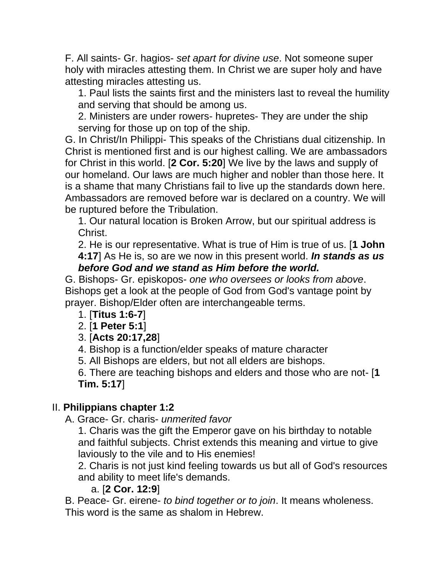F. All saints- Gr. hagios- *set apart for divine use*. Not someone super holy with miracles attesting them. In Christ we are super holy and have attesting miracles attesting us.

1. Paul lists the saints first and the ministers last to reveal the humility and serving that should be among us.

2. Ministers are under rowers- hupretes- They are under the ship serving for those up on top of the ship.

G. In Christ/In Philippi- This speaks of the Christians dual citizenship. In Christ is mentioned first and is our highest calling. We are ambassadors for Christ in this world. [**2 Cor. 5:20**] We live by the laws and supply of our homeland. Our laws are much higher and nobler than those here. It is a shame that many Christians fail to live up the standards down here. Ambassadors are removed before war is declared on a country. We will be ruptured before the Tribulation.

1. Our natural location is Broken Arrow, but our spiritual address is Christ.

2. He is our representative. What is true of Him is true of us. [**1 John 4:17**] As He is, so are we now in this present world. *In stands as us before God and we stand as Him before the world.*

G. Bishops- Gr. episkopos- *one who oversees or looks from above*. Bishops get a look at the people of God from God's vantage point by prayer. Bishop/Elder often are interchangeable terms.

#### 1. [**Titus 1:6-7**]

2. [**1 Peter 5:1**]

3. [**Acts 20:17,28**]

4. Bishop is a function/elder speaks of mature character

5. All Bishops are elders, but not all elders are bishops.

6. There are teaching bishops and elders and those who are not- [**1 Tim. 5:17**]

# II. **Philippians chapter 1:2**

A. Grace- Gr. charis- *unmerited favor*

1. Charis was the gift the Emperor gave on his birthday to notable and faithful subjects. Christ extends this meaning and virtue to give laviously to the vile and to His enemies!

2. Charis is not just kind feeling towards us but all of God's resources and ability to meet life's demands.

# a. [**2 Cor. 12:9**]

B. Peace- Gr. eirene- *to bind together or to join*. It means wholeness. This word is the same as shalom in Hebrew.